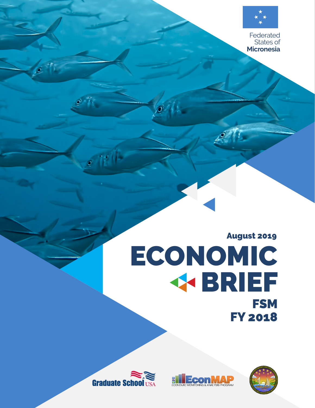

Federated States of **Micronesia** 

# August 2019 ECONOMIC BRIEF **FSM** FY 2018





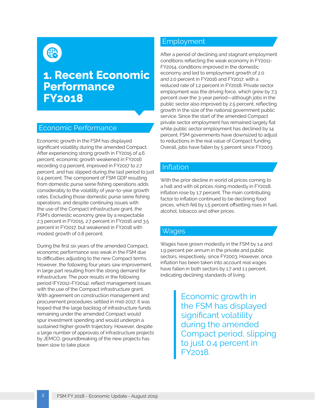(∰

### **1. Recent Economic Performance FY2018**

### Economic Performance

Economic growth in the FSM has displayed significant volatility during the amended Compact. After experiencing strong growth in FY2015 of 4.6 percent, economic growth weakened in FY2016 recording 0.9 percent, improved in FY2017 to 2.7 percent, and has slipped during the last period to just 0.4 percent. The component of FSM GDP resulting from domestic purse seine fishing operations adds considerably to the volatility of year-to-year growth rates. Excluding those domestic purse seine fishing operations, and despite continuing issues with the use of the Compact infrastructure grant, the FSM's domestic economy grew by a respectable 2.3 percent in FY2015, 2.7 percent in FY2016 and 3.5 percent in FY2017, but weakened in FY2018 with modest growth of 0.8 percent.

During the first six years of the amended Compact, economic performance was weak in the FSM due to difficulties adjusting to the new Compact terms. However, the following four years saw improvement, in large part resulting from the strong demand for infrastructure. The poor results in the following period (FY2012-FY2014), reflect management issues with the use of the Compact infrastructure grant. With agreement on construction management and procurement procedures settled in mid-2017, it was hoped that the large backlog of infrastructure funds remaining under the amended Compact would spur investment spending and would underpin a sustained higher growth trajectory. However, despite a large number of approvals of infrastructure projects by JEMCO, groundbreaking of the new projects has been slow to take place.

### Employment

After a period of declining and stagnant employment conditions reflecting the weak economy in FY2011 - FY2014, conditions improved in the domestic economy and led to employment growth of 2.0 and 2.0 percent in FY2016 and FY2017, with a reduced rate of 1.2 percent in FY2018. Private sector employment was the driving force, which grew by 7.3 percent over the 3-year period—although jobs in the public sector also improved by 2.5 percent, reflecting growth in the size of the national government public service. Since the start of the amended Compact private sector employment has remained largely flat while public sector employment has declined by 14 percent. FSM governments have downsized to adjust to reductions in the real value of Compact funding. Overall, jobs have fallen by 5 percent since FY2003.

#### Inflation

With the prior decline in world oil prices coming to a halt and with oil prices rising modestly in FY2018, inflation rose by 1.7 percent. The main contributing factor to inflation continued to be declining food prices, which fell by 1.5 percent offsetting rises in fuel, alcohol, tobacco and other prices.

#### Wages

Wages have grown modestly in the FSM by 1.4 and 1.9 percent per annum in the private and public sectors, respectively, since FY2003. However, once inflation has been taken into account real wages have fallen in both sectors by 1.7 and 1.1 percent, indicating declining standards of living.

> Economic growth in the FSM has displayed significant volatility during the amended Compact period, slipping to just 0.4 percent in FY2018.

2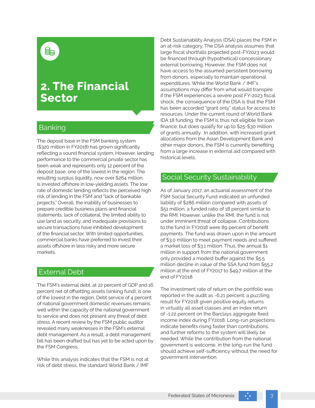### **2. The Financial Sector**

### Banking

The deposit base in the FSM banking system (\$320 million in FY2018) has grown significantly reflecting a sound financial system. However, lending performance to the commercial private sector has been weak and represents only 12 percent of the deposit base, one of the lowest in the region. The resulting surplus liquidity, now over \$264 million, is invested offshore in low-yielding assets. The low rate of domestic lending reflects the perceived high risk of lending in the FSM and "lack of bankable projects." Overall, the inability of businesses to prepare credible business plans and financial statements, lack of collateral, the limited ability to use land as security, and inadequate provisions to secure transactions have inhibited development of the financial sector. With limited opportunities, commercial banks have preferred to invest their assets offshore in less risky and more secure markets.

#### External Debt

The FSM's external debt, at 22 percent of GDP and 16 percent net of offsetting assets (sinking fund), is one of the lowest in the region. Debt service of 4 percent of national government domestic revenues remains well within the capacity of the national government to service and does not present any threat of debt stress. A recent review by the FSM public auditor revealed many weaknesses in the FSM's external debt management. As a result, a debt management bill has been drafted but has yet to be acted upon by the FSM Congress.

While this analysis indicates that the FSM is not at risk of debt stress, the standard World Bank / IMF

Debt Sustainability Analysis (DSA) places the FSM in an at-risk category. The DSA analysis assumes that large fiscal shortfalls projected post-FY2023 would be financed through (hypothetical) concessionary external borrowing. However, the FSM does not have access to the assumed persistent borrowing from donors, especially to maintain operational expenditures. While the World Bank / IMF's assumptions may differ from what would transpire if the FSM experiences a severe post FY-2023 fiscal shock, the consequence of the DSA is that the FSM has been accorded "grant only" status for access to resources. Under the current round of World Bank IDA 18 funding, the FSM is thus not eligible for loan finance, but does qualify for up to \$25-\$30 million of grants annually. In addition, with increased grant allocations from the Asian Development Bank and other major donors, the FSM is currently benefiting from a large increase in external aid compared with historical levels.

### Social Security Sustainability

As of January 2017, an actuarial assessment of the FSM Social Security Fund indicated an unfunded liability of \$286 million compared with assets of \$51 million, a funded ratio of 18 percent similar to the RMI. However, unlike the RMI, the fund is not under imminent threat of collapse. Contributions to the fund in FY2018 were 89 percent of benefit payments. The fund was drawn upon in the amount of \$3.0 million to meet payment needs and suffered a market loss of \$3.1 million. Thus, the annual \$1 million in support from the national government only provided a modest buffer against the \$5.5 million decline in value of the SSA fund from \$55.2 million at the end of FY2017 to \$49.7 million at the end of FY2018.

The investment rate of return on the portfolio was reported in the audit as -6.21 percent; a puzzling result for FY2018 given positive equity returns in virtually all asset classes and an index return of -1.22 percent on the Barclays aggregate fixed income index during FY2018. Long-run projections indicate benefits rising faster than contributions, and further reforms to the system will likely be needed. While the contribution from the national government is welcome, in the long-run the fund should achieve self-sufficiency without the need for government intervention.

3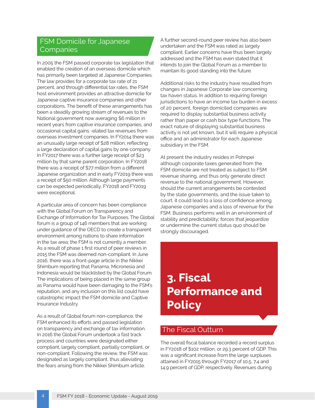### FSM Domicile for Japanese Companies

In 2005 the FSM passed corporate tax legislation that enabled the creation of an overseas domicile which has primarily been targeted at Japanese Companies. The law provides for a corporate tax rate of 21 percent, and through differential tax rates, the FSM host environment provides an attractive domicile for Japanese captive insurance companies and other corporations. The benefit of these arrangements has been a steadily growing stream of revenues to the National government now averaging \$6 million in recent years from captive insurance companies, and occasional capital gains -elated tax revenues from overseas investment companies. In FY2014 there was an unusually large receipt of \$28 million, reflecting a large declaration of capital gains by one company. In FY2017 there was a further large receipt of \$23 million by that same parent corporation. In FY2018 there was a receipt of \$77 million from a different Japanese organization and in early FY2019 there was a receipt of \$50 million. Although large payments can be expected periodically, FY2018 and FY2019 were exceptional.

A particular area of concern has been compliance with the Global Forum on Transparency and Exchange of Information for Tax Purposes. The Global forum is a group of 146 members that are working under guidance of the OECD to create a transparent environment among nations to share information in the tax area; the FSM is not currently a member. As a result of phase 1 first round of peer reviews in 2015 the FSM was deemed non-compliant. In June 2016, there was a front-page article in the Nikkei Shimbum reporting that Panama, Micronesia and Indonesia would be blacklisted by the Global Forum. The implications of being placed in the same group as Panama would have been damaging to the FSM's reputation, and any inclusion on this list could have catastrophic impact the FSM domicile and Captive Insurance Industry.

 process and countries were designated either As a result of Global forum non-compliance, the FSM enhanced its efforts and passed legislation on transparency and exchange of tax information. In 2016 the Global Forum undertook a fast track compliant, largely compliant, partially compliant, or non-compliant. Following the review, the FSM was designated as largely compliant, thus alleviating the fears arising from the Nikkei Shimbum article.

A further second-round peer review has also been undertaken and the FSM was rated as largely compliant. Earlier concerns have thus been largely addressed and the FSM has even stated that it intends to join the Global Forum as a member to maintain its good standing into the future.

Additional risks to the industry have resulted from changes in Japanese Corporate law concerning tax haven status. In addition to requiring foreign jurisdictions to have an income tax burden in excess of 20 percent, foreign domiciled companies are required to display substantial business activity rather than paper or cash box type functions. The exact nature of displaying substantial business activity is not yet known, but it will require a physical office and an administrator for each Japanese subsidiary in the FSM.

At present the industry resides in Pohnpei although corporate taxes generated from the FSM domicile are not treated as subject to FSM revenue sharing, and thus only generate direct revenue to the national government. However, should the current arrangements be contested by the state governments, and the issue taken to court, it could lead to a loss of confidence among Japanese companies and a loss of revenue for the FSM. Business performs well in an environment of stability and predictability; forces that jeopardize or undermine the current status quo should be strongly discouraged.

# **3. Fiscal Performance and Policy**

### The Fiscal Outturn

The overall fiscal balance recorded a record surplus in FY2018 of \$102 million, or 29.3 percent of GDP. This was a significant increase from the large surpluses attained in FY2015 through FY2017 of 10.5, 7.4 and 14.9 percent of GDP, respectively. Revenues during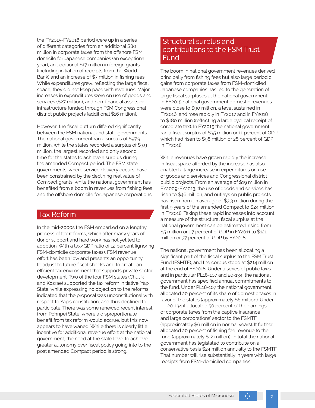the FY2015-FY2018 period were up in a series of different categories from an additional \$80 million in corporate taxes from the offshore FSM domicile for Japanese companies (an exceptional year), an additional \$17 million in foreign grants (including initiation of receipts from the World Bank) and an increase of \$7 million in fishing fees. While expenditures grew, reflecting the large fiscal space, they did not keep pace with revenues. Major increases in expenditures were on use of goods and services (\$27 million), and non-financial assets or infrastructure funded through FSM Congressional district public projects (additional \$16 million).

However, the fiscal outturn differed significantly between the FSM national and state governments. The national government ran a surplus of \$97.9 million, while the states recorded a surplus of \$3.9 million, the largest recorded and only second time for the states to achieve a surplus during the amended Compact period. The FSM state governments, where service delivery occurs, have been constrained by the declining real value of Compact grants, while the national government has benefited from a boom in revenues from fishing fees and the offshore domicile for Japanese corporations.

#### Tax Reform

In the mid-2000s the FSM embarked on a lengthy process of tax reforms, which after many years of donor support and hard work has not yet led to adoption. With a tax/GDP ratio of 12 percent (ignoring FSM-domicile corporate taxes), FSM revenue effort has been low and presents an opportunity to adjust to future fiscal shocks and to create an efficient tax environment that supports private sector development. Two of the four FSM states (Chuuk and Kosrae) supported the tax reform initiative. Yap State, while expressing no objection to the reforms indicated that the proposal was unconstitutional with respect to Yap's constitution, and thus declined to participate. There was some renewed recent interest from Pohnpei State, where a disproportionate benefit from tax reform would accrue, but this now appears to have waned. While there is clearly little incentive for additional revenue effort at the national government, the need at the state level to achieve greater autonomy over fiscal policy going into to the post amended Compact period is strong.

### Structural surplus and contributions to the FSM Trust Fund

The boom in national government revenues derived principally from fishing fees but also large periodic gains from corporate taxes from FSM-domiciled Japanese companies has led to the generation of large fiscal surpluses at the national government. In FY2015 national government domestic revenues were close to \$90 million, a level sustained in FY2016, and rose rapidly in FY2017 and in FY2018 to \$180 million (reflecting a large cyclical receipt of corporate tax). In FY2015 the national government ran a fiscal surplus of \$35 million or 11 percent of GDP which had risen to \$98 million or 28 percent of GDP in FY2018.

While revenues have grown rapidly the increase in fiscal space afforded by the increase has also enabled a large increase in expenditures on use of goods and services and Congressional district public projects. From an average of \$19 million in FY2009-FY2013, the use of goods and services has risen to \$46 million, and outlays on public projects has risen from an average of \$3.3 million during the first 9 years of the amended Compact to \$24 million in FY2018. Taking these rapid increases into account a measure of the structural fiscal surplus at the national government can be estimated: rising from \$5 million or 1.7 percent of GDP in FY2011 to \$121 million or 37 percent of GDP by FY2018.

The national government has been allocating a significant part of the fiscal surplus to the FSM Trust Fund (FSMTF), and the corpus stood at \$214 million at the end of FY2018. Under a series of public laws and in particular PL18-107 and 20-134, the national government has specified annual commitments to the fund. Under PL18-107 the national government allocated 20 percent of its share of domestic taxes in favor of the states (approximately \$6 million). Under PL 20-134 it allocated 50 percent of the earnings of corporate taxes from the captive insurance and large corporations' sector to the FSMTF (approximately \$6 million in normal years). It further allocated 20 percent of fishing fee revenue to the fund (approximately \$12 million). In total the national government has legislated to contribute on a conservative basis \$24 million annually to the FSMTF. That number will rise substantially in years with large receipts from FSM-domiciled companies.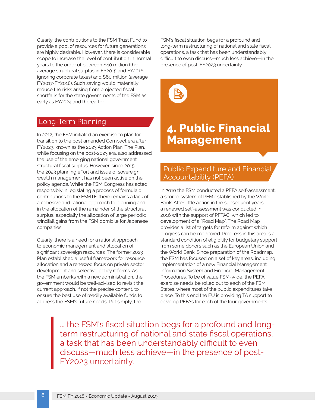Clearly, the contributions to the FSM Trust Fund to provide a pool of resources for future generations are highly desirable. However, there is considerable scope to increase the level of contribution in normal years to the order of between \$40 million (the average structural surplus in FY2015 and FY2016 ignoring corporate taxes) and \$60 million (average FY2017-FY2018). Such saving would materially reduce the risks arising from projected fiscal shortfalls for the state governments of the FSM as early as FY2024 and thereafter.

#### Long-Term Planning

In 2012, the FSM initiated an exercise to plan for transition to the post amended Compact era after FY2023, known as the 2023 Action Plan. The Plan, while focusing on the post-2023 era, also addressed the use of the emerging national government structural fiscal surplus. However, since 2015, the 2023 planning effort and issue of sovereign wealth management has not been active on the policy agenda. While the FSM Congress has acted responsibly in legislating a process of formulaic contributions to the FSMTF, there remains a lack of a cohesive and rational approach to planning and in the allocation of the remainder of the structural surplus, especially the allocation of large periodic windfall gains from the FSM domicile for Japanese companies.

Clearly, there is a need for a rational approach to economic management and allocation of significant sovereign resources. The former 2023 Plan established a useful framework for resource allocation and a renewed focus on private sector development and selective policy reforms. As the FSM embarks with a new administration, the government would be well-advised to revisit the current approach, if not the precise content, to ensure the best use of readily available funds to address the FSM's future needs. Put simply, the

FSM's fiscal situation begs for a profound and long-term restructuring of national and state fiscal operations, a task that has been understandably difficult to even discuss—much less achieve—in the presence of post-FY2023 uncertainty.



### **4. Public Financial Management**

### Public Expenditure and Financial Accountability (PEFA)

In 2010 the FSM conducted a PEFA self-assessment, a scored system of PFM established by the World Bank. After little action in the subsequent years, a renewed self-assessment was conducted in 2016 with the support of PFTAC, which led to development of a "Road Map". The Road Map provides a list of targets for reform against which progress can be monitored. Progress in this area is a standard condition of eligibility for budgetary support from some donors such as the European Union and the World Bank. Since preparation of the Roadmap, the FSM has focused on a set of key areas, including implementation of a new Financial Management Information System and Financial Management Procedures. To be of value FSM-wide, the PEFA exercise needs be rolled out to each of the FSM States, where most of the public expenditures take place. To this end the EU is providing TA support to develop PEFAs for each of the four governments.

... the FSM's fiscal situation begs for a profound and longterm restructuring of national and state fiscal operations, a task that has been understandably difficult to even discuss—much less achieve—in the presence of post-FY2023 uncertainty.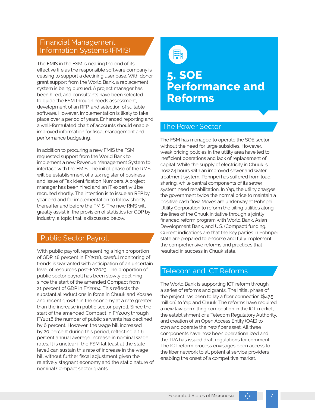### Financial Management Information Systems (FMIS)

The FMIS in the FSM is nearing the end of its effective life as the responsible software company is ceasing to support a declining user base. With donor grant support from the World Bank, a replacement system is being pursued. A project manager has been hired, and consultants have been selected to guide the FSM through needs assessment, development of an RFP, and selection of suitable software. However, implementation is likely to take place over a period of years. Enhanced reporting and a well-formulated chart of accounts should enable improved information for fiscal management and performance budgeting.

 implement a new Revenue Management System to In addition to procuring a new FMIS the FSM requested support from the World Bank to interface with the FMIS. The initial phase of the RMS will be establishment of a tax register of business and issue of Tax Identification Numbers. A project manager has been hired and an IT expert will be recruited shortly. The intention is to issue an RFP by year end and for implementation to follow shortly thereafter and before the FMIS. The new RMS will greatly assist in the provision of statistics for GDP by industry, a topic that is discussed below.

### Public Sector Payroll

With public payroll representing a high proportion of GDP, 18 percent in FY2018, careful monitoring of trends is warranted with anticipation of an uncertain level of resources post-FY2023. The proportion of public sector payroll has been slowly declining since the start of the amended Compact from 21 percent of GDP in FY2004. This reflects the substantial reductions in force in Chuuk and Kosrae and recent growth in the economy at a rate greater than the increase in public sector payroll. Since the start of the amended Compact in FY2003 through FY2018 the number of public servants has declined by 6 percent. However, the wage bill increased by 20 percent during this period, reflecting a 1.6 percent annual average increase in nominal wage rates. It is unclear if the FSM (at least at the state level) can sustain this rate of increase in the wage bill without further fiscal adjustment given the relatively stagnant economy and the static nature of nominal Compact sector grants.



### **5. SOE Performance and Reforms**

### The Power Sector

The FSM has managed to operate the SOE sector without the need for large subsidies. However, weak pricing policies in the utility area have led to inefficient operations and lack of replacement of capital. While the supply of electricity in Chuuk is now 24 hours with an improved sewer and water treatment system, Pohnpei has suffered from load sharing, while central components of its sewer system need rehabilitation. In Yap, the utility charges the government twice the normal price to maintain a positive cash flow. Moves are underway at Pohnpei Utility Corporation to reform the ailing utilities along the lines of the Chuuk initiative through a jointly financed reform program with World Bank, Asian Development Bank, and U.S. (Compact) funding. Current indications are that the key parties in Pohnpei state are prepared to endorse and fully implement the comprehensive reforms and practices that resulted in success in Chuuk state.

### Telecom and ICT Reforms

The World Bank is supporting ICT reform through a series of reforms and grants. The initial phase of the project has been to lay a fiber connection (\$47.5 million) to Yap and Chuuk. The reforms have required a new law permitting competition in the ICT market, the establishment of a Telecom Regulatory Authority, and creation of an Open Access Entity (OAE) to own and operate the new fiber asset. All three components have now been operationalized and the TRA has issued draft regulations for comment. The ICT reform process envisages open access to the fiber network to all potential service providers enabling the onset of a competitive market.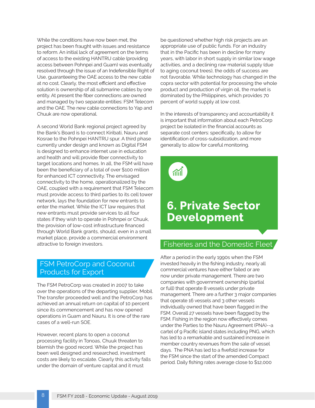While the conditions have now been met, the project has been fraught with issues and resistance to reform. An initial lack of agreement on the terms of access to the existing HANTRU cable (providing access between Pohnpei and Guam) was eventually resolved through the issue of an Indefensible Right of Use, guaranteeing the OAE access to the new cable at no cost. Clearly, the most efficient and effective solution is ownership of all submarine cables by one entity. At present the fiber connections are owned and managed by two separate entities: FSM Telecom and the OAE. The new cable connections to Yap and Chuuk are now operational.

A second World Bank regional project agreed by the Bank's Board is to connect Kiribati, Nauru and Kosrae to the Pohnpei HANTRU spur. A third phase currently under design and known as Digital FSM is designed to enhance internet use in education and health and will provide fiber connectivity to target locations and homes. In all, the FSM will have been the beneficiary of a total of over \$100 million for enhanced ICT connectivity. The envisaged connectivity to the home, operationalized by the OAE, coupled with a requirement that FSM Telecom must provide access to third parties to its cell tower network, lays the foundation for new entrants to enter the market. While the ICT law requires that new entrants must provide services to all four states if they wish to operate in Pohnpei or Chuuk, the provision of low-cost infrastructure financed through World Bank grants, should, even in a small market place, provide a commercial environment attractive to foreign investors.

### FSM PetroCorp and Coconut Products for Export

The FSM PetroCorp was created in 2007 to take over the operations of the departing supplier, Mobil. The transfer proceeded well and the PetroCorp has achieved an annual return on capital of 10 percent since its commencement and has now opened operations in Guam and Nauru. It is one of the rare cases of a well-run SOE.

However, recent plans to open a coconut processing facility in Tonoas, Chuuk threaten to blemish the good record. While the project has been well designed and researched, investment costs are likely to escalate. Clearly this activity falls under the domain of venture capital and it must

8

be questioned whether high risk projects are an appropriate use of public funds. For an industry that in the Pacific has been in decline for many years, with labor in short supply in similar low wage activities, and a declining raw material supply (due to aging coconut trees), the odds of success are not favorable. While technology has changed in the copra sector with potential for processing the whole product and production of virgin oil, the market is dominated by the Philippines, which provides 70 percent of world supply at low cost.

In the interests of transparency and accountability it is important that information about each PetroCorp project be isolated in the financial accounts as separate cost centers: specifically, to allow for identification of cross-subsidization, and more generally to allow for careful monitoring.



## **6. Private Sector Development**

### Fisheries and the Domestic Fleet

 that operate 16 vessels and 3 other vessels member country revenues from the sale of vessel After a period in the early 1990s when the FSM invested heavily in the fishing industry, nearly all commercial ventures have either failed or are now under private management. There are two companies with government ownership (partial or full) that operate 8 vessels under private management. There are a further 3 major companies individually owned that have been flagged in the FSM. Overall 27 vessels have been flagged by the FSM. Fishing in the region now effectively comes under the Parties to the Nauru Agreement (PNA)--a cartel of 9 Pacific island states including PNG, which has led to a remarkable and sustained increase in days. The PNA has led to a fivefold increase for the FSM since the start of the amended Compact period. Daily fishing rates average close to \$12,000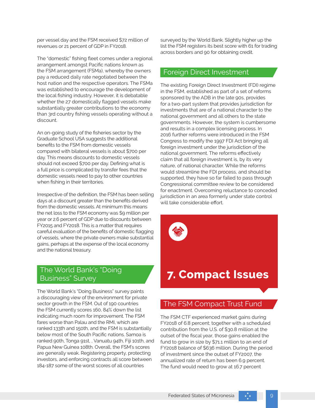per vessel day and the FSM received \$72 million of revenues or 21 percent of GDP in FY2018.

The "domestic" fishing fleet comes under a regional arrangement amongst Pacific nations known as the FSM arrangement (FSMa), whereby the owners pay a reduced daily rate negotiated between the host nation and the respective operators. The FSMa was established to encourage the development of the local fishing industry. However, it is debatable whether the 27 domestically flagged vessels make substantially greater contributions to the economy than 3rd country fishing vessels operating without a discount.

An on-going study of the fisheries sector by the Graduate School USA suggests the additional benefits to the FSM from domestic vessels compared with bilateral vessels is about \$700 per day. This means discounts to domestic vessels should not exceed \$700 per day. Defining what is a full price is complicated by transfer fees that the domestic vessels need to pay to other countries when fishing in their territories.

Irrespective of the definition, the FSM has been selling days at a discount greater than the benefits derived from the domestic vessels. At minimum this means the net loss to the FSM economy was \$9 million per year or 2.6 percent of GDP due to discounts between FY2015 and FY2018. This is a matter that requires careful evaluation of the benefits of domestic flagging of vessels, where the private owners make substantial gains, perhaps at the expense of the local economy and the national treasury.

### The World Bank's "Doing Business" Survey

The World Bank's "Doing Business" survey paints a discouraging view of the environment for private sector growth in the FSM. Out of 190 countries the FSM currently scores 160, 84% down the list indicating much room for improvement. The FSM fares worse than Palau and the RMI, which are ranked 133th and 150th, and the FSM is substantially below most of the South Pacific nations. Samoa is ranked 90th, Tonga 91st, , Vanuatu 94th, Fiji 101th, and Papua New Guinea 108th. Overall, the FSM's scores are generally weak. Registering property, protecting investors, and enforcing contracts all score between 184-187 some of the worst scores of all countries

surveyed by the World Bank. Slightly higher up the list the FSM registers its best score with 61 for trading across borders and 90 for obtaining credit.

### Foreign Direct Investment

The existing Foreign Direct Investment (FDI) regime in the FSM, established as part of a set of reforms sponsored by the ADB in the late 90s, provides for a two-part system that provides jurisdiction for investments that are of a national character to the national government and all others to the state governments. However, the system is cumbersome and results in a complex licensing process. In 2016 further reforms were introduced in the FSM Congress to modify the 1997 FDI Act bringing all foreign investment under the jurisdiction of the national government. The reforms effectively claim that all foreign investment is, by its very nature, of national character. While the reforms would streamline the FDI process, and should be supported, they have so far failed to pass through Congressional committee review to be considered for enactment. Overcoming reluctance to conceded jurisdiction in an area formerly under state control will take considerable effort.

### **7. Compact Issues**

### The FSM Compact Trust Fund

The FSM CTF experienced market gains during FY2018 of 6.8 percent; together with a scheduled contribution from the U.S. of \$30.8 million at the outset of the fiscal year, those gains enabled the fund to grow in size by \$71.1 million to an end of FY2018 balance of \$636 million. During the period of investment since the outset of FY2007, the annualized rate of return has been 6.9 percent. The fund would need to grow at 16.7 percent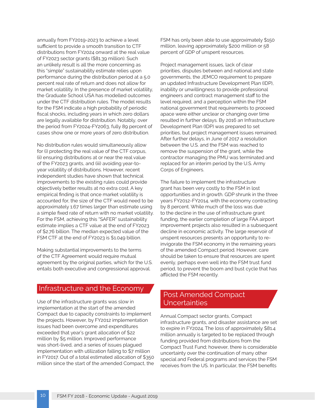annually from FY2019-2023 to achieve a level sufficient to provide a smooth transition to CTF distributions from FY2024 onward at the real value of FY2023 sector grants (\$81.39 million). Such an unlikely result is all the more concerning as this "simple" sustainability estimate relies upon performance during the distribution period at a 5.0 percent real rate of return and does not allow for market volatility. In the presence of market volatility, the Graduate School USA has modelled outcomes under the CTF distribution rules. The model results for the FSM indicate a high probability of periodic fiscal shocks, including years in which zero dollars are legally available for distribution. Notably, over the period from FY2024-FY2063, fully 89 percent of cases show one or more years of zero distribution.

No distribution rules would simultaneously allow for (i) protecting the real value of the CTF corpus, (ii) ensuring distributions at or near the real value of the FY2023 grants, and (iii) avoiding year-toyear volatility of distributions. However, recent independent studies have shown that technical improvements to the existing rules could provide objectively better results at no extra cost. A key empirical finding is that once market volatility is accounted for, the size of the CTF would need to be approximately 1.67 times larger than estimate using a simple fixed rate of return with no market volatility. For the FSM, achieving this "SAFER" sustainability estimate implies a CTF value at the end of FY2023 of \$2.76 billion. The median expected value of the FSM CTF at the end of FY2023 is \$1.049 billion.

Making substantial improvements to the terms of the CTF Agreement would require mutual agreement by the original parties, which for the U.S. entails both executive and congressional approval.

#### Infrastructure and the Economy

Use of the infrastructure grants was slow in implementation at the start of the amended Compact due to capacity constraints to implement the projects. However, by FY2012 implementation issues had been overcome and expenditures exceeded that year's grant allocation of \$22 million by \$5 million. Improved performance was short-lived, and a series of issues plagued implementation with utilization falling to \$7 million in FY2017. Out of a total estimated allocation of \$350 million since the start of the amended Compact, the FSM has only been able to use approximately \$150 million, leaving approximately \$200 million or 58 percent of GDP of unspent resources.

Project management issues, lack of clear priorities, disputes between and national and state governments, the JEMCO requirement to prepare an updated Infrastructure Development Plan (IDP), inability or unwillingness to provide professional engineers and contract management staff to the level required, and a perception within the FSM national government that requirements to proceed apace were either unclear or changing over time resulted in further delays. By 2016 an Infrastructure Development Plan (IDP) was prepared to set priorities, but project management issues remained. After further delays, in June of 2017 a resolution between the U.S. and the FSM was reached to remove the suspension of the grant, while the contractor managing the PMU was terminated and replaced for an interim period by the U.S. Army Corps of Engineers.

The failure to implement the infrastructure grant has been very costly to the FSM in lost opportunities and in growth. GDP shrunk in the three years FY2012-FY2014, with the economy contracting by 8 percent. While much of the loss was due to the decline in the use of infrastructure grant funding, the earlier completion of large FAA airport improvement projects also resulted in a subsequent decline in economic activity. The large reservoir of unspent resources presents an opportunity to reinvigorate the FSM economy in the remaining years of the amended Compact period. However, care should be taken to ensure that resources are spent evenly, perhaps even well into the FSM trust fund period, to prevent the boom and bust cycle that has afflicted the FSM recently.

### Post Amended Compact **Uncertainties**

Annual Compact sector grants, Compact infrastructure grants, and disaster assistance are set to expire in FY2024. The loss of approximately \$81.4 million annually is targeted to be replaced through funding provided from distributions from the Compact Trust Fund; however, there is considerable uncertainty over the continuation of many other special and Federal programs and services the FSM receives from the US. In particular, the FSM benefits

10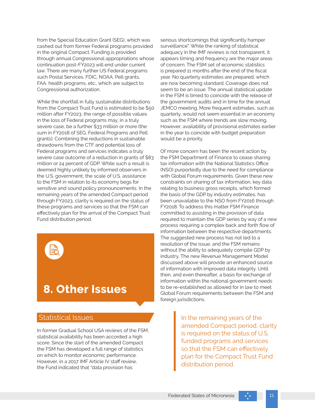from the Special Education Grant (SEG), which was cashed out from former Federal programs provided in the original Compact. Funding is provided through annual Congressional appropriations whose continuation post-FY2023 will end under current law. There are many further US Federal programs such Postal Services, FDIC, NOAA, Pell grants, FAA, health programs, etc., which are subject to Congressional authorization.

While the shortfall in fully sustainable distributions from the Compact Trust Fund is estimated to be \$50 million after FY2023, the range of possible values in the loss of Federal programs may, in a truly severe case, be a further \$33 million or more (the sum in FY2018 of SEG, Federal Programs and Pell grants). Combining the reductions in sustainable drawdowns from the CTF and potential loss of Federal programs and services indicates a truly severe case outcome of a reduction in grants of \$83 million or 24 percent of GDP. While such a result is deemed highly unlikely by informed observers in the U.S. government, the scale of U.S. assistance to the FSM in relation to its economy begs for sensitive and sound policy pronouncements. In the remaining years of the amended Compact period through FY2023, clarity is required on the status of these programs and services so that the FSM can effectively plan for the arrival of the Compact Trust Fund distribution period.



### **8. Other Issues**

#### Statistical Issues

In former Gradual School USA reviews of the FSM, statistical availability has been accorded a high score. Since the start of the amended Compact the FSM has developed a full range of statistics on which to monitor economic performance. However, in a 2017 IMF Article IV staff review, the Fund indicated that "data provision has

serious shortcomings that significantly hamper surveillance". While the ranking of statistical adequacy in the IMF reviews is not transparent, it appears timing and frequency are the major areas of concern. The FSM set of economic statistics is prepared 11 months after the end of the fiscal year. No quarterly estimates are prepared, which are now becoming standard. Coverage does not seem to be an issue. The annual statistical update in the FSM is timed to coincide with the release of the government audits and in time for the annual JEMCO meeting. More frequent estimates, such as quarterly, would not seem essential in an economy such as the FSM where trends are slow moving. However, availability of provisional estimates earlier in the year to coincide with budget preparation would be a priority.

Of more concern has been the recent action by the FSM Department of Finance to cease sharing tax information with the National Statistics Office (NSO) purportedly due to the need for compliance with Global Forum requirements. Given these new constraints on sharing of tax information, key data relating to business gross receipts, which formed the basis of the GDP by industry estimates, has been unavailable to the NSO from FY2016 through FY2018. To address this matter FSM Finance committed to assisting in the provision of data required to maintain the GDP series by way of a new process requiring a complex back and forth flow of information between the respective departments. The suggested new process has not led to a resolution of the issue, and the FSM remains without the ability to adequately compile GDP by industry. The new Revenue Management Model discussed above will provide an enhanced source of information with improved data integrity. Until then, and even thereafter, a basis for exchange of information within the national government needs to be re-established as allowed for in law to meet Global Forum requirements between the FSM and foreign jurisdictions.

> In the remaining years of the amended Compact period, clarity is required on the status of U.S. funded programs and services so that the FSM can effectively plan for the Compact Trust Fund distribution period.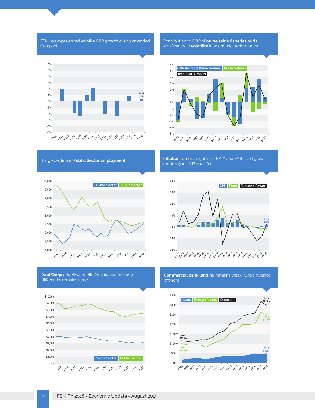

**Real Wages** decline: public/private sector wage differential remains large



**Commercial bank lending** remains weak; funds invested offshore

خهم شهر المراسم به مراسم به مراسم به المراسم به مراسم به مراسم به المراسم به المراسم به مراسم به به المراسم به

-20%

-10%

0%

10%

20%

30%

40%



Large decline in Public Sector Employment



FSM has experienced **volatile GDP growth** during amended

**Compact** 





**CPI Food Fuel and Power** 

**FY18 1.7%**



Contribution to GDP of **purse seine fisheries adds** significantly to **volatility** in economic performance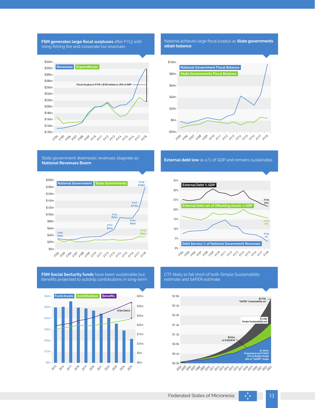**FSM generates large fiscal surpluses** after FY13 with rising fishing fee and corporate tax revenues



National achieves large fiscal surplus as **State governments attain balance** 



State government doemestic revenues stagnate as **National Revenues Boom** 



**FSM Social Secturity funds** have been sustainable but benefits projected to outstrip contributions in long-term



**External debt low** as a % of GDP and remains sustainable



CTF likely to fall short of both Simple Sustainability estimate and SAFER estimate

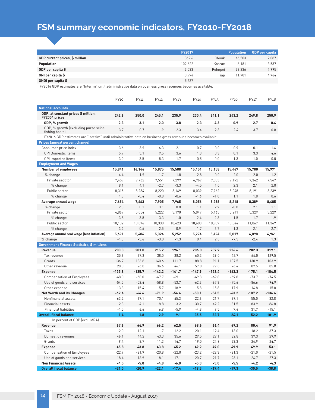# **FSM summary economic indicators, FY2010-FY2018**

|                                | <b>FY2017</b> |         | <b>Population</b> | <b>GDP</b> per capita |
|--------------------------------|---------------|---------|-------------------|-----------------------|
| GDP current prices, \$ million | 362.6         | Chuuk   | 46,503            | 2,087                 |
| Population                     | 102,622       | Kosrae  | 6.181             | 3,537                 |
| GDP per capita \$              | 3,533         | Pohnpei | 38,236            | 4,995                 |
| GNI per capita \$              | 3,994         | Yap     | 11.701            | 4,764                 |
| <b>GNDI</b> per capita \$      | 5,337         |         |                   |                       |

FY2016 GDP estimates are "Interim" until administrative data on business gross revenues becomes available.

|                                                                                                            | <b>FY10</b> | FY11     | FY12     | FY <sub>13</sub> | FY14     | FY <sub>15</sub> | <b>FY16</b> | FY17     | FY18     |
|------------------------------------------------------------------------------------------------------------|-------------|----------|----------|------------------|----------|------------------|-------------|----------|----------|
| <b>National accounts</b>                                                                                   |             |          |          |                  |          |                  |             |          |          |
| GDP, at constant prices \$ million,<br>FY2004 prices                                                       | 242.6       | 250.0    | 245.1    | 235.9            | 230.4    | 241.1            | 243.2       | 249.8    | 250.9    |
| GDP, % growth                                                                                              | 2.3         | 3.1      | $-2.0$   | $-3.8$           | $-2.3$   | 4.6              | 0.9         | 2.7      | 0.4      |
| GDP, % growth (excluding purse seine<br>fishing boats)                                                     | 3.7         | 0.7      | $-1.9$   | $-2.3$           | $-3.4$   | 2.3              | 2.4         | 3.7      | 0.8      |
| FY2016 GDP estimates are "Interim" until administrative data on business gross revenues becomes available. |             |          |          |                  |          |                  |             |          |          |
| <b>Prices (annual percent change)</b>                                                                      |             |          |          |                  |          |                  |             |          |          |
| Consumer price index                                                                                       | 3.6         | 3.9      | 6.3      | 2.1              | 0.7      | 0.0              | $-0.9$      | 0.1      | 1.4      |
| <b>CPI Domestic items</b>                                                                                  | 5.7         | 5.1      | 9.5      | 3.6              | 1.3      | 0.3              | 0.1         | 3.3      | 4.6      |
| CPI Imported items                                                                                         | 3.0         | 3.5      | 5.3      | 1.7              | 0.5      | 0.0              | $-1.3$      | $-1.0$   | 0.0      |
| <b>Employment and Wages</b>                                                                                |             |          |          |                  |          |                  |             |          |          |
| <b>Number of employees</b>                                                                                 | 15,841      | 16.146   | 15,875   | 15,588           | 15,151   | 15,158           | 15,467      | 15,780   | 15,971   |
| % change                                                                                                   | 4.4         | 1.9      | $-1.7$   | $-1.8$           | $-2.8$   | 0.0              | 2.0         | 2.0      | 1.2      |
| Private sedctor                                                                                            | 7,459       | 7,762    | 7,551    | 7,299            | 6,967    | 7,033            | 7,192       | 7,342    | 7,547    |
| % change                                                                                                   | 8.1         | 4.1      | $-2.7$   | $-3.3$           | $-4.5$   | 1.0              | 2.3         | 2.1      | 2.8      |
| Public sector                                                                                              | 8,315       | 8,284    | 8,220    | 8,169            | 8,039    | 7,962            | 8,048       | 8,191    | 8,239    |
| % change                                                                                                   | 1.3         | $-0.4$   | $-0.8$   | $-0.6$           | $-1.6$   | $-1.0$           | 1.1         | 1.8      | 0.6      |
| Average annual wage                                                                                        | 7,654       | 7,663    | 7,905    | 7,965            | 8,056    | 8,288            | 8,218       | 8,389    | 8,485    |
| % change                                                                                                   | 2.3         | 0.1      | 3.1      | 0.8              | 1.1      | 2.9              | $-0.8$      | 2.1      | 1.1      |
| Private sector                                                                                             | 4,867       | 5,054    | 5,222    | 5,170            | 5,047    | 5.165            | 5,241       | 5,329    | 5,229    |
| % change                                                                                                   | 3.8         | 3.8      | 3.3      | $-1.0$           | $-2.4$   | 2.3              | 1.5         | 1.7      | $-1.9$   |
| Public sector                                                                                              | 10,132      | 10,076   | 10,330   | 10,423           | 10,600   | 10,989           | 10,844      | 11,067   | 11,369   |
| % change                                                                                                   | 3.2         | $-0.6$   | 2.5      | 0.9              | 1.7      | 3.7              | $-1.3$      | 2.1      | 2.7      |
| Average annual real wage (less inflation)                                                                  | 5,691       | 5,486    | 5,324    | 5,252            | 5,274    | 5,424            | 5,017       | 4,898    | 4,961    |
| % change                                                                                                   | $-1.3$      | $-3.6$   | $-3.0$   | $-1.3$           | 0.4      | 2.8              | $-7.5$      | $-2.4$   | 1.3      |
| <b>Government Finance Statistics, \$ millions</b>                                                          |             |          |          |                  |          |                  |             |          |          |
| Revenue                                                                                                    | 200.3       | 201.0    | 215.2    | 196.1            | 206.0    | 207.9            | 226.6       | 282.3    | 319.1    |
| Tax revenue                                                                                                | 35.6        | 37.3     | 38.0     | 38.2             | 60.3     | 39.0             | 42.7        | 64.0     | 129.5    |
| Grants                                                                                                     | 136.7       | 136.8    | 140.6    | 111.7            | 88.8     | 91.1             | 107.5       | 130.9    | 103.9    |
| Other revenue                                                                                              | 28.0        | 26.8     | 36.6     | 46.1             | 57.0     | 77.8             | 76.4        | 87.5     | 85.8     |
| <b>Expense</b>                                                                                             | $-135.8$    | $-135.7$ | $-142.2$ | $-141.7$         | $-147.9$ | $-153.4$         | $-163.3$    | $-175.1$ | $-184.5$ |
| <b>Compensation of Employees</b>                                                                           | $-68.0$     | $-68.0$  | $-67.7$  | $-69.1$          | $-69.8$  | $-69.8$          | $-69.8$     | $-73.7$  | $-74.5$  |
| Use of goods and services                                                                                  | $-54.5$     | $-52.4$  | $-58.8$  | $-53.7$          | $-62.3$  | $-67.8$          | $-75.6$     | $-86.6$  | $-94.9$  |
| Other expense                                                                                              | $-13.3$     | $-15.4$  | $-15.7$  | $-18.9$          | $-15.8$  | $-15.8$          | $-17.9$     | $-14.8$  | $-15.0$  |
| <b>Net Worth and its Changes</b>                                                                           | $-62.4$     | $-64.6$  | $-71.9$  | -54.4            | $-58.1$  | $-54.5$          | $-63.2$     | $-107.2$ | $-134.6$ |
| Nonfinancial assets                                                                                        | $-63.2$     | $-67.1$  | $-70.1$  | $-45.3$          | $-22.6$  | $-21.7$          | $-39.1$     | $-55.0$  | $-32.8$  |
| <b>Financial assets</b>                                                                                    | 2.3         | $-4.1$   | $-8.8$   | $-3.2$           | $-30.7$  | $-42.2$          | $-31.5$     | $-83.9$  | $-86.8$  |
| <b>Financial liabilities</b>                                                                               | $-1.5$      | 6.6      | 6.9      | $-5.9$           | $-4.8$   | 9.5              | 7.4         | 31.7     | $-15.1$  |
| <b>Overall fiscal balance</b>                                                                              | 1.4         | $-1.8$   | 2.9      | 9.1              | 35.5     | 32.7             | 24.1        | 52.2     | 101.9    |
| In percent of GDP (excl. MRA)                                                                              |             |          |          |                  |          |                  |             |          |          |
| Revenue                                                                                                    | 67.6        | 64.9     | 66.2     | 62.5             | 68.6     | 66.4             | 69.2        | 80.4     | 91.9     |
| Taxes                                                                                                      | 12.0        | 12.1     | 11.7     | 12.2             | 20.1     | 12.4             | 13.0        | 18.2     | 37.3     |
| Domestic revenues                                                                                          | 46.1        | 44.2     | 43.3     | 35.6             | 29.5     | 29.1             | 32.8        | 37.3     | 29.9     |
| Grants                                                                                                     | 9.4         | 8.7      | 11.3     | 14.7             | 19.0     | 24.9             | 23.3        | 24.9     | 24.7     |
| <b>Expense</b>                                                                                             | $-45.8$     | $-43.8$  | $-43.8$  | $-45.2$          | $-49.2$  | $-49.0$          | $-49.9$     | $-49.9$  | $-53.1$  |
| <b>Compensation of Employees</b>                                                                           | $-22.9$     | $-21.9$  | $-20.8$  | $-22.0$          | $-23.2$  | $-22.3$          | $-21.3$     | $-21.0$  | $-21.5$  |
| Use of goods and services                                                                                  | $-18.4$     | $-16.9$  | $-18.1$  | $-17.1$          | $-20.7$  | $-21.7$          | $-23.1$     | $-24.7$  | $-27.3$  |
| <b>Non Financial Assets</b>                                                                                | $-4.5$      | $-5.0$   | $-4.8$   | $-6.0$           | $-5.3$   | $-5.0$           | $-5.5$      | $-4.2$   | $-4.3$   |
| <b>Overall fiscal balance</b>                                                                              | $-21.0$     | $-20.9$  | $-22.1$  | $-17.4$          | $-19.3$  | $-17.4$          | $-19.3$     | $-30.5$  | $-38.8$  |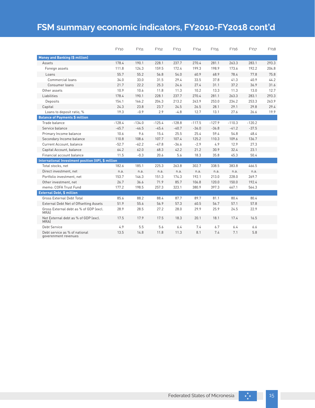### **FSM summary economic indicators, FY2010-FY2018 cont'd**

|                                                       | FY10     | FY11     | FY12     | FY <sub>13</sub> | FY14     | FY <sub>15</sub> | FY <sub>16</sub> | FY17     | <b>FY18</b> |
|-------------------------------------------------------|----------|----------|----------|------------------|----------|------------------|------------------|----------|-------------|
| <b>Money and Banking (\$ million)</b>                 |          |          |          |                  |          |                  |                  |          |             |
| Assets                                                | 178.4    | 190.1    | 228.1    | 237.7            | 270.4    | 281.1            | 263.3            | 283.1    | 293.3       |
| Foreign assets                                        | 111.8    | 124.3    | 159.5    | 172.4            | 199.3    | 198.9            | 173.6            | 192.2    | 204.8       |
| Loans                                                 | 55.7     | 55.2     | 56.8     | 54.0             | 60.9     | 68.9             | 78.4             | 77.8     | 75.8        |
| Commercial loans                                      | 34.0     | 33.0     | 31.5     | 29.4             | 33.5     | 37.8             | 41.3             | 40.9     | 44.2        |
| Consumer loans                                        | 21.7     | 22.2     | 25.3     | 24.6             | 27.4     | 31.1             | 37.2             | 36.9     | 31.6        |
| Other assets                                          | 10.9     | 10.6     | 11.8     | 11.3             | 10.2     | 13.3             | 11.3             | 13.0     | 12.7        |
| Liabilities                                           | 178.4    | 190.1    | 228.1    | 237.7            | 270.4    | 281.1            | 263.3            | 283.1    | 293.3       |
| Deposits                                              | 154.1    | 166.2    | 204.3    | 213.2            | 243.9    | 253.0            | 234.2            | 253.3    | 263.9       |
| Capital                                               | 24.3     | 23.8     | 23.7     | 24.5             | 26.5     | 28.1             | 29.1             | 29.8     | 29.4        |
| Loans to deposit ratio, %                             | 19.3     | $-0.9$   | 2.9      | $-4.8$           | 12.7     | 13.1             | 27.6             | 26.6     | 19.9        |
| <b>Balance of Payments \$ million</b>                 |          |          |          |                  |          |                  |                  |          |             |
| Trade balance                                         | $-128.4$ | $-134.0$ | $-125.4$ | $-128.8$         | $-117.5$ | $-127.9$         | $-110.3$         | $-120.2$ |             |
| Service balance                                       | $-45.7$  | $-46.5$  | $-45.4$  | $-40.7$          | $-36.0$  | $-36.8$          | $-41.2$          | $-37.5$  |             |
| Primary Income balance                                | 10.6     | 9.6      | 15.4     | 25.5             | 25.4     | 59.4             | 54.8             | 48.4     |             |
| Secondary Income balance                              | 110.8    | 108.6    | 107.7    | 107.4            | 125.2    | 110.3            | 109.6            | 136.7    |             |
| Current Account, balance                              | $-52.7$  | $-62.2$  | $-47.8$  | $-36.6$          | $-2.9$   | 4.9              | 12.9             | 27.3     |             |
| Capital Account, balance                              | 64.2     | 62.0     | 68.3     | 42.2             | 21.2     | 30.9             | 32.4             | 23.1     |             |
| Financial account balance                             | 11.5     | $-0.3$   | 20.6     | 5.6              | 18.3     | 35.8             | 45.3             | 50.4     |             |
| International Investment position (IIP), \$ million   |          |          |          |                  |          |                  |                  |          |             |
| Total stocks, net                                     | 182.6    | 185.1    | 225.3    | 263.8            | 302.7    | 338.5            | 383.8            | 466.5    |             |
| Direct investment, net                                | n.a.     | n.a.     | n.a.     | n.a.             | n.a.     | n.a.             | n.a.             | n.a.     |             |
| Portfolio investment, net                             | 153.7    | 146.3    | 151.3    | 174.3            | 192.1    | 213.0            | 228.0            | 269.7    |             |
| Other investment, net                                 | 26.7     | 36.6     | 71.9     | 85.7             | 106.8    | 120.0            | 150.0            | 192.4    |             |
| memo: COFA Trust Fund                                 | 177.2    | 198.5    | 257.3    | 323.1            | 380.9    | 397.3            | 467.1            | 564.3    |             |
| <b>External Debt, \$ million</b>                      |          |          |          |                  |          |                  |                  |          |             |
| <b>Gross External Debt Total</b>                      | 85.6     | 88.2     | 88.4     | 87.7             | 89.7     | 81.1             | 80.4             | 80.4     |             |
| External Debt Net of Offsetting Assets                | 51.9     | 55.6     | 56.9     | 57.3             | 60.5     | 56.7             | 57.1             | 57.8     |             |
| Gross External debt as % of GDP (excl.<br><b>MRAI</b> | 28.9     | 28.5     | 27.2     | 28.0             | 29.9     | 25.9             | 24.5             | 22.9     |             |
| Net External debt as % of GDP (excl.<br><b>MRAI</b>   | 17.5     | 17.9     | 17.5     | 18.3             | 20.1     | 18.1             | 17.4             | 16.5     |             |
| <b>Debt Service</b>                                   | 4.9      | 5.5      | 5.6      | 6.4              | 7.4      | 6.7              | 6.4              | 6.6      |             |
| Debt service as % of national<br>goverenment revenues | 13.5     | 14.8     | 11.8     | 11.3             | 8.1      | 7.4              | 7.1              | 5.8      |             |